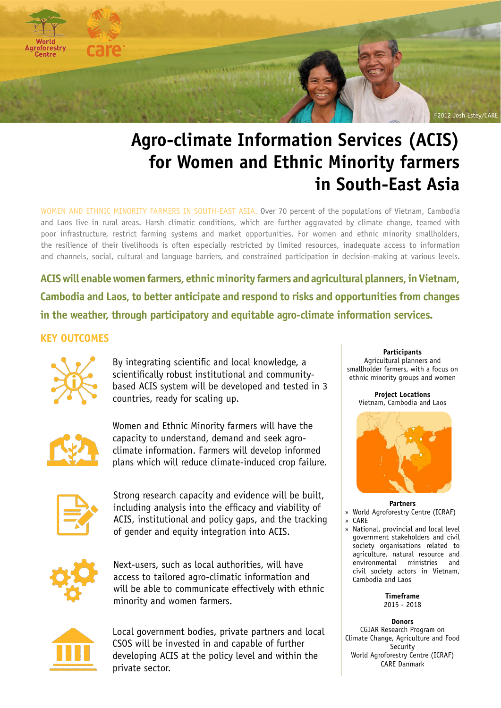

# **Agro-climate Information Services (ACIS) for Women and Ethnic Minority farmers in South-East Asia**

WOMEN AND ETHNIC MINORITY FARMERS IN SOUTH-EAST ASIA. Over 70 percent of the populations of Vietnam, Cambodia and Laos live in rural areas. Harsh climatic conditions, which are further aggravated by climate change, teamed with poor infrastructure, restrict farming systems and market opportunities. For women and ethnic minority smallholders, the resilience of their livelihoods is often especially restricted by limited resources, inadequate access to information and channels, social, cultural and language barriers, and constrained participation in decision-making at various levels.

**ACIS will enable women farmers, ethnic minority farmers and agricultural planners, in Vietnam, Cambodia and Laos, to better anticipate and respond to risks and opportunities from changes in the weather, through participatory and equitable agro-climate information services.**

# **KEY OUTCOMES**



By integrating scientific and local knowledge, a scientifically robust institutional and communitybased ACIS system will be developed and tested in 3 countries, ready for scaling up.



Women and Ethnic Minority farmers will have the capacity to understand, demand and seek agroclimate information. Farmers will develop informed plans which will reduce climate-induced crop failure.



Strong research capacity and evidence will be built, including analysis into the efficacy and viability of ACIS, institutional and policy gaps, and the tracking of gender and equity integration into ACIS.



Next-users, such as local authorities, will have access to tailored agro-climatic information and will be able to communicate effectively with ethnic minority and women farmers.



Local government bodies, private partners and local CSOS will be invested in and capable of further developing ACIS at the policy level and within the private sector.

**Participants**  Agricultural planners and smallholder farmers, with a focus on ethnic minority groups and women

**Project Locations** Vietnam, Cambodia and Laos



**Partners**

» World Agroforestry Centre (ICRAF) » CARE

» National, provincial and local level government stakeholders and civil society organisations related to agriculture, natural resource and environmental ministries and civil society actors in Vietnam, Cambodia and Laos

> **Timeframe**  2015 - 2018

**Donors** CGIAR Research Program on Climate Change, Agriculture and Food **Security** World Agroforestry Centre (ICRAF) CARE Danmark